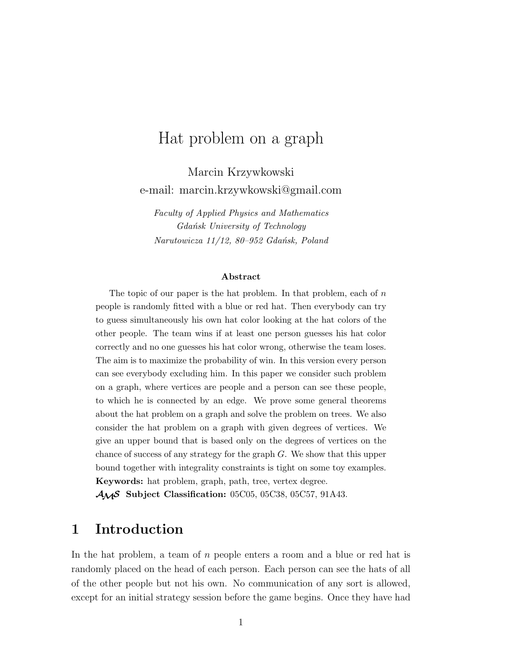# Hat problem on a graph

Marcin Krzywkowski e-mail: marcin.krzywkowski@gmail.com

*Faculty of Applied Physics and Mathematics Gdańsk University of Technology Narutowicza 11/12, 80–952 Gdańsk, Poland*

#### **Abstract**

The topic of our paper is the hat problem. In that problem, each of  $n$ people is randomly fitted with a blue or red hat. Then everybody can try to guess simultaneously his own hat color looking at the hat colors of the other people. The team wins if at least one person guesses his hat color correctly and no one guesses his hat color wrong, otherwise the team loses. The aim is to maximize the probability of win. In this version every person can see everybody excluding him. In this paper we consider such problem on a graph, where vertices are people and a person can see these people, to which he is connected by an edge. We prove some general theorems about the hat problem on a graph and solve the problem on trees. We also consider the hat problem on a graph with given degrees of vertices. We give an upper bound that is based only on the degrees of vertices on the chance of success of any strategy for the graph  $G$ . We show that this upper bound together with integrality constraints is tight on some toy examples. **Keywords:** hat problem, graph, path, tree, vertex degree. AMS **Subject Classification:** 05C05, 05C38, 05C57, 91A43.

## **1 Introduction**

In the hat problem, a team of n people enters a room and a blue or red hat is randomly placed on the head of each person. Each person can see the hats of all of the other people but not his own. No communication of any sort is allowed, except for an initial strategy session before the game begins. Once they have had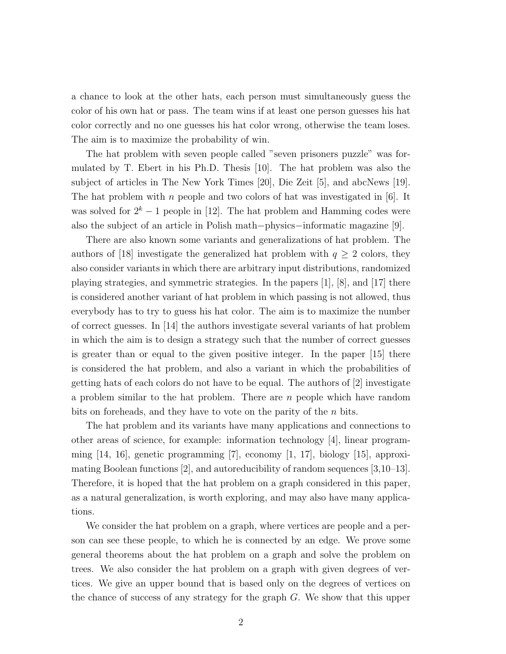a chance to look at the other hats, each person must simultaneously guess the color of his own hat or pass. The team wins if at least one person guesses his hat color correctly and no one guesses his hat color wrong, otherwise the team loses. The aim is to maximize the probability of win.

The hat problem with seven people called "seven prisoners puzzle" was formulated by T. Ebert in his Ph.D. Thesis [10]. The hat problem was also the subject of articles in The New York Times [20], Die Zeit [5], and abcNews [19]. The hat problem with n people and two colors of hat was investigated in  $[6]$ . It was solved for  $2^k - 1$  people in [12]. The hat problem and Hamming codes were also the subject of an article in Polish math−physics−informatic magazine [9].

There are also known some variants and generalizations of hat problem. The authors of [18] investigate the generalized hat problem with  $q \geq 2$  colors, they also consider variants in which there are arbitrary input distributions, randomized playing strategies, and symmetric strategies. In the papers [1], [8], and [17] there is considered another variant of hat problem in which passing is not allowed, thus everybody has to try to guess his hat color. The aim is to maximize the number of correct guesses. In [14] the authors investigate several variants of hat problem in which the aim is to design a strategy such that the number of correct guesses is greater than or equal to the given positive integer. In the paper [15] there is considered the hat problem, and also a variant in which the probabilities of getting hats of each colors do not have to be equal. The authors of [2] investigate a problem similar to the hat problem. There are n people which have random bits on foreheads, and they have to vote on the parity of the *n* bits.

The hat problem and its variants have many applications and connections to other areas of science, for example: information technology [4], linear programming  $[14, 16]$ , genetic programming  $[7]$ , economy  $[1, 17]$ , biology  $[15]$ , approximating Boolean functions [2], and autoreducibility of random sequences [3,10–13]. Therefore, it is hoped that the hat problem on a graph considered in this paper, as a natural generalization, is worth exploring, and may also have many applications.

We consider the hat problem on a graph, where vertices are people and a person can see these people, to which he is connected by an edge. We prove some general theorems about the hat problem on a graph and solve the problem on trees. We also consider the hat problem on a graph with given degrees of vertices. We give an upper bound that is based only on the degrees of vertices on the chance of success of any strategy for the graph G. We show that this upper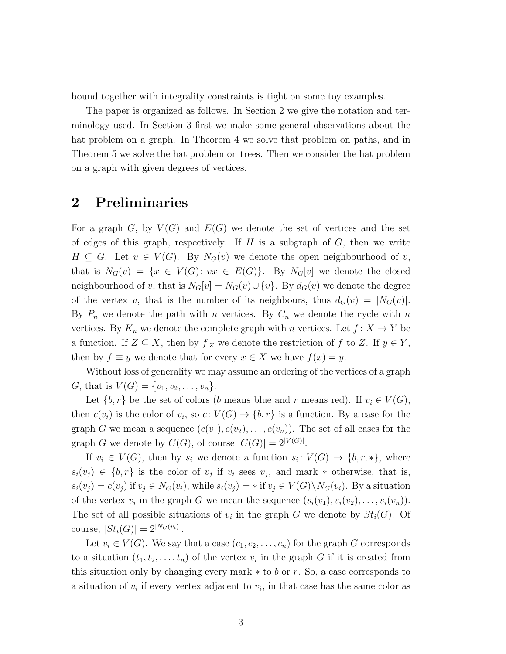bound together with integrality constraints is tight on some toy examples.

The paper is organized as follows. In Section 2 we give the notation and terminology used. In Section 3 first we make some general observations about the hat problem on a graph. In Theorem 4 we solve that problem on paths, and in Theorem 5 we solve the hat problem on trees. Then we consider the hat problem on a graph with given degrees of vertices.

## **2 Preliminaries**

For a graph G, by  $V(G)$  and  $E(G)$  we denote the set of vertices and the set of edges of this graph, respectively. If  $H$  is a subgraph of  $G$ , then we write  $H \subseteq G$ . Let  $v \in V(G)$ . By  $N_G(v)$  we denote the open neighbourhood of v, that is  $N_G(v) = \{x \in V(G): vx \in E(G)\}.$  By  $N_G[v]$  we denote the closed neighbourhood of v, that is  $N_G[v] = N_G(v) \cup \{v\}$ . By  $d_G(v)$  we denote the degree of the vertex v, that is the number of its neighbours, thus  $d_G(v) = |N_G(v)|$ . By  $P_n$  we denote the path with n vertices. By  $C_n$  we denote the cycle with n vertices. By  $K_n$  we denote the complete graph with n vertices. Let  $f: X \to Y$  be a function. If  $Z \subseteq X$ , then by  $f_{|Z}$  we denote the restriction of f to Z. If  $y \in Y$ , then by  $f \equiv y$  we denote that for every  $x \in X$  we have  $f(x) = y$ .

Without loss of generality we may assume an ordering of the vertices of a graph G, that is  $V(G) = \{v_1, v_2, \ldots, v_n\}.$ 

Let  $\{b, r\}$  be the set of colors (b means blue and r means red). If  $v_i \in V(G)$ , then  $c(v_i)$  is the color of  $v_i$ , so  $c: V(G) \to \{b, r\}$  is a function. By a case for the graph G we mean a sequence  $(c(v_1), c(v_2), \ldots, c(v_n))$ . The set of all cases for the graph G we denote by  $C(G)$ , of course  $|C(G)| = 2^{|V(G)|}$ .

If  $v_i \in V(G)$ , then by  $s_i$  we denote a function  $s_i: V(G) \to \{b, r, *\}$ , where  $s_i(v_j) \in \{b, r\}$  is the color of  $v_j$  if  $v_i$  sees  $v_j$ , and mark  $*$  otherwise, that is,  $s_i(v_j) = c(v_j)$  if  $v_j \in N_G(v_i)$ , while  $s_i(v_j) = *$  if  $v_j \in V(G) \backslash N_G(v_i)$ . By a situation of the vertex  $v_i$  in the graph G we mean the sequence  $(s_i(v_1), s_i(v_2), \ldots, s_i(v_n))$ . The set of all possible situations of  $v_i$  in the graph G we denote by  $St_i(G)$ . Of course,  $|St_i(G)| = 2^{|N_G(v_i)|}$ .

Let  $v_i \in V(G)$ . We say that a case  $(c_1, c_2, \ldots, c_n)$  for the graph G corresponds to a situation  $(t_1, t_2, \ldots, t_n)$  of the vertex  $v_i$  in the graph G if it is created from this situation only by changing every mark  $*$  to b or r. So, a case corresponds to a situation of  $v_i$  if every vertex adjacent to  $v_i$ , in that case has the same color as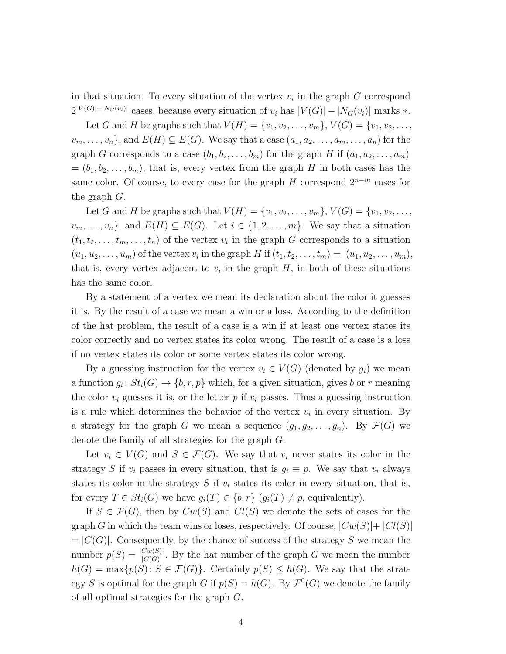in that situation. To every situation of the vertex  $v_i$  in the graph G correspond  $2^{|V(G)|-|N_G(v_i)|}$  cases, because every situation of  $v_i$  has  $|V(G)|-|N_G(v_i)|$  marks  $*$ .

Let G and H be graphs such that  $V(H) = \{v_1, v_2, ..., v_m\}, V(G) = \{v_1, v_2, ..., v_m\}$  $v_m, \ldots, v_n$ , and  $E(H) \subseteq E(G)$ . We say that a case  $(a_1, a_2, \ldots, a_m, \ldots, a_n)$  for the graph G corresponds to a case  $(b_1, b_2, \ldots, b_m)$  for the graph H if  $(a_1, a_2, \ldots, a_m)$  $=(b_1, b_2, \ldots, b_m)$ , that is, every vertex from the graph H in both cases has the same color. Of course, to every case for the graph  $H$  correspond  $2^{n-m}$  cases for the graph G.

Let G and H be graphs such that  $V(H) = \{v_1, v_2, \ldots, v_m\}, V(G) = \{v_1, v_2, \ldots, v_m\}$  $v_m, \ldots, v_n$ , and  $E(H) \subseteq E(G)$ . Let  $i \in \{1, 2, \ldots, m\}$ . We say that a situation  $(t_1, t_2, \ldots, t_m, \ldots, t_n)$  of the vertex  $v_i$  in the graph G corresponds to a situation  $(u_1, u_2, \ldots, u_m)$  of the vertex  $v_i$  in the graph H if  $(t_1, t_2, \ldots, t_m) = (u_1, u_2, \ldots, u_m)$ , that is, every vertex adjacent to  $v_i$  in the graph  $H$ , in both of these situations has the same color.

By a statement of a vertex we mean its declaration about the color it guesses it is. By the result of a case we mean a win or a loss. According to the definition of the hat problem, the result of a case is a win if at least one vertex states its color correctly and no vertex states its color wrong. The result of a case is a loss if no vertex states its color or some vertex states its color wrong.

By a guessing instruction for the vertex  $v_i \in V(G)$  (denoted by  $g_i$ ) we mean a function  $g_i: St_i(G) \to \{b, r, p\}$  which, for a given situation, gives b or r meaning the color  $v_i$  guesses it is, or the letter p if  $v_i$  passes. Thus a guessing instruction is a rule which determines the behavior of the vertex  $v_i$  in every situation. By a strategy for the graph G we mean a sequence  $(g_1, g_2, \ldots, g_n)$ . By  $\mathcal{F}(G)$  we denote the family of all strategies for the graph G.

Let  $v_i \in V(G)$  and  $S \in \mathcal{F}(G)$ . We say that  $v_i$  never states its color in the strategy S if  $v_i$  passes in every situation, that is  $g_i \equiv p$ . We say that  $v_i$  always states its color in the strategy  $S$  if  $v_i$  states its color in every situation, that is, for every  $T \in St_i(G)$  we have  $g_i(T) \in \{b, r\}$   $(g_i(T) \neq p$ , equivalently).

If  $S \in \mathcal{F}(G)$ , then by  $Cw(S)$  and  $Cl(S)$  we denote the sets of cases for the graph G in which the team wins or loses, respectively. Of course,  $|Cw(S)|+|Cl(S)|$  $= |C(G)|$ . Consequently, by the chance of success of the strategy S we mean the number  $p(S) = \frac{|C_w(S)|}{|C(G)|}$ . By the hat number of the graph G we mean the number  $h(G) = \max\{p(S): S \in \mathcal{F}(G)\}\$ . Certainly  $p(S) \leq h(G)$ . We say that the strategy S is optimal for the graph G if  $p(S) = h(G)$ . By  $\mathcal{F}^0(G)$  we denote the family of all optimal strategies for the graph G.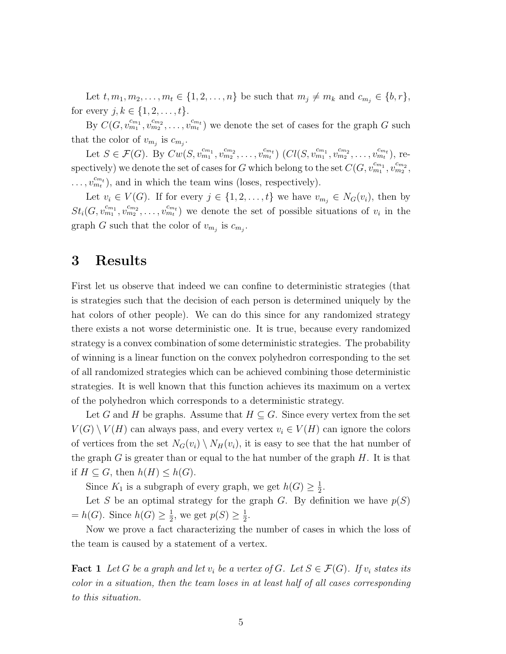Let  $t, m_1, m_2, \ldots, m_t \in \{1, 2, \ldots, n\}$  be such that  $m_j \neq m_k$  and  $c_{m_j} \in \{b, r\},$ for every  $j, k \in \{1, 2, ..., t\}.$ 

By  $C(G, v_{m_1}^{c_{m_1}}, v_{m_2}^{c_{m_2}}, \ldots, v_{m_t}^{c_{m_t}})$  we denote the set of cases for the graph G such that the color of  $v_{m_j}$  is  $c_{m_j}$ .

Let  $S \in \mathcal{F}(G)$ . By  $Cw(S, v_{m_1}^{c_{m_1}}, v_{m_2}^{c_{m_2}}, \ldots, v_{m_t}^{c_{m_t}})$   $(Cl(S, v_{m_1}^{c_{m_1}}, v_{m_2}^{c_{m_2}}, \ldots, v_{m_t}^{c_{m_t}})$ , respectively) we denote the set of cases for G which belong to the set  $C(G, v_{m_1}^{c_{m_1}}, v_{m_2}^{c_{m_2}})$  $\ldots, v_{m_t}^{c_{m_t}}$ ), and in which the team wins (loses, respectively).

Let  $v_i \in V(G)$ . If for every  $j \in \{1, 2, ..., t\}$  we have  $v_{m_j} \in N_G(v_i)$ , then by  $St_i(G, v_{m_1}^{c_{m_1}}, v_{m_2}^{c_{m_2}}, \ldots, v_{m_t}^{c_{m_t}})$  we denote the set of possible situations of  $v_i$  in the graph G such that the color of  $v_{m_j}$  is  $c_{m_j}$ .

### **3 Results**

First let us observe that indeed we can confine to deterministic strategies (that is strategies such that the decision of each person is determined uniquely by the hat colors of other people). We can do this since for any randomized strategy there exists a not worse deterministic one. It is true, because every randomized strategy is a convex combination of some deterministic strategies. The probability of winning is a linear function on the convex polyhedron corresponding to the set of all randomized strategies which can be achieved combining those deterministic strategies. It is well known that this function achieves its maximum on a vertex of the polyhedron which corresponds to a deterministic strategy.

Let G and H be graphs. Assume that  $H \subseteq G$ . Since every vertex from the set  $V(G) \setminus V(H)$  can always pass, and every vertex  $v_i \in V(H)$  can ignore the colors of vertices from the set  $N_G(v_i) \setminus N_H(v_i)$ , it is easy to see that the hat number of the graph  $G$  is greater than or equal to the hat number of the graph  $H$ . It is that if  $H \subseteq G$ , then  $h(H) \leq h(G)$ .

Since  $K_1$  is a subgraph of every graph, we get  $h(G) \geq \frac{1}{2}$  $\frac{1}{2}$ .

Let S be an optimal strategy for the graph G. By definition we have  $p(S)$  $= h(G)$ . Since  $h(G) \geq \frac{1}{2}$  $\frac{1}{2}$ , we get  $p(S) \geq \frac{1}{2}$  $\frac{1}{2}$ .

Now we prove a fact characterizing the number of cases in which the loss of the team is caused by a statement of a vertex.

**Fact 1** Let G be a graph and let  $v_i$  be a vertex of G. Let  $S \in \mathcal{F}(G)$ . If  $v_i$  states its *color in a situation, then the team loses in at least half of all cases corresponding to this situation.*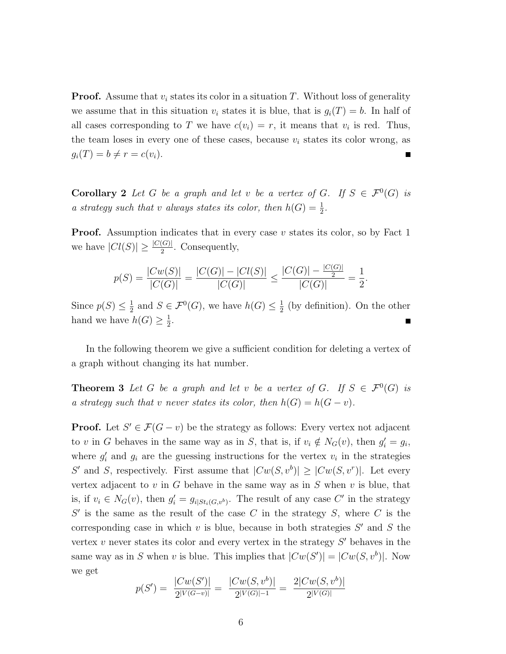**Proof.** Assume that  $v_i$  states its color in a situation T. Without loss of generality we assume that in this situation  $v_i$  states it is blue, that is  $g_i(T) = b$ . In half of all cases corresponding to T we have  $c(v_i) = r$ , it means that  $v_i$  is red. Thus, the team loses in every one of these cases, because  $v_i$  states its color wrong, as  $g_i(T) = b \neq r = c(v_i).$ 

**Corollary 2** Let G be a graph and let v be a vertex of G. If  $S \in \mathcal{F}^0(G)$  is *a strategy such that v always states its color, then*  $h(G) = \frac{1}{2}$ *.* 

**Proof.** Assumption indicates that in every case v states its color, so by Fact 1 we have  $|Cl(S)| \geq \frac{|C(G)|}{2}$ . Consequently,

$$
p(S) = \frac{|Cw(S)|}{|C(G)|} = \frac{|C(G)| - |Cl(S)|}{|C(G)|} \le \frac{|C(G)| - \frac{|C(G)|}{2}}{|C(G)|} = \frac{1}{2}
$$

.

Since  $p(S) \leq \frac{1}{2}$  $\frac{1}{2}$  and  $S \in \mathcal{F}^0(G)$ , we have  $h(G) \leq \frac{1}{2}$  $\frac{1}{2}$  (by definition). On the other hand we have  $h(G) \geq \frac{1}{2}$  $\frac{1}{2}$ .

In the following theorem we give a sufficient condition for deleting a vertex of a graph without changing its hat number.

**Theorem 3** Let G be a graph and let v be a vertex of G. If  $S \in \mathcal{F}^0(G)$  is *a strategy such that* v *never states its color, then*  $h(G) = h(G - v)$ *.* 

**Proof.** Let  $S' \in \mathcal{F}(G - v)$  be the strategy as follows: Every vertex not adjacent to v in G behaves in the same way as in S, that is, if  $v_i \notin N_G(v)$ , then  $g'_i = g_i$ , where  $g_i'$  and  $g_i$  are the guessing instructions for the vertex  $v_i$  in the strategies S' and S, respectively. First assume that  $|Cw(S, v^b)| \geq |Cw(S, v^r)|$ . Let every vertex adjacent to  $v$  in  $G$  behave in the same way as in  $S$  when  $v$  is blue, that is, if  $v_i \in N_G(v)$ , then  $g'_i = g_{i|St_i(G,v^b)}$ . The result of any case C' in the strategy  $S'$  is the same as the result of the case C in the strategy S, where C is the corresponding case in which  $v$  is blue, because in both strategies  $S'$  and  $S$  the vertex  $v$  never states its color and every vertex in the strategy  $S'$  behaves in the same way as in S when v is blue. This implies that  $|Cw(S')| = |Cw(S, v^b)|$ . Now we get

$$
p(S') = \frac{|Cw(S')|}{2^{|V(G-v)|}} = \frac{|Cw(S, v^b)|}{2^{|V(G)|-1}} = \frac{2|Cw(S, v^b)|}{2^{|V(G)|}}
$$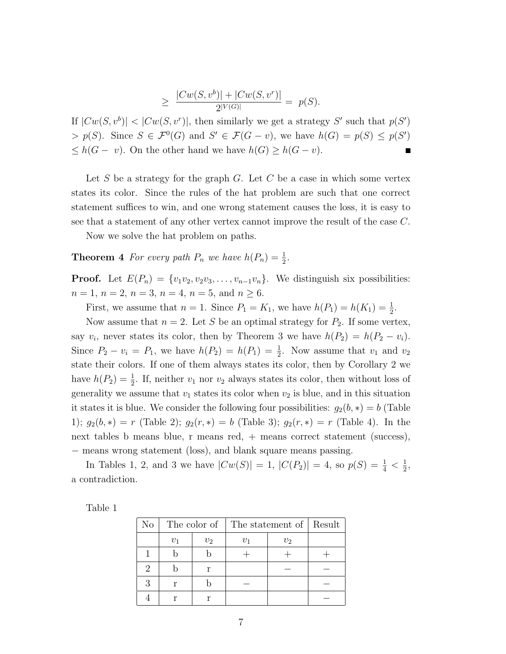$$
\geq \frac{|Cw(S, v^b)| + |Cw(S, v^r)|}{2^{|V(G)|}} = p(S).
$$

If  $|Cw(S, v^{b})|$  <  $|Cw(S, v^{r})|$ , then similarly we get a strategy S' such that  $p(S')$  $> p(S)$ . Since  $S \in \mathcal{F}^0(G)$  and  $S' \in \mathcal{F}(G - v)$ , we have  $h(G) = p(S) \leq p(S')$  $\leq h(G - v)$ . On the other hand we have  $h(G) \geq h(G - v)$ .

Let S be a strategy for the graph  $G$ . Let C be a case in which some vertex states its color. Since the rules of the hat problem are such that one correct statement suffices to win, and one wrong statement causes the loss, it is easy to see that a statement of any other vertex cannot improve the result of the case C.

Now we solve the hat problem on paths.

**Theorem 4** For every path  $P_n$  we have  $h(P_n) = \frac{1}{2}$ .

**Proof.** Let  $E(P_n) = \{v_1v_2, v_2v_3, \ldots, v_{n-1}v_n\}$ . We distinguish six possibilities:  $n = 1, n = 2, n = 3, n = 4, n = 5, \text{ and } n \ge 6.$ 

First, we assume that  $n = 1$ . Since  $P_1 = K_1$ , we have  $h(P_1) = h(K_1) = \frac{1}{2}$ .

Now assume that  $n = 2$ . Let S be an optimal strategy for  $P_2$ . If some vertex, say  $v_i$ , never states its color, then by Theorem 3 we have  $h(P_2) = h(P_2 - v_i)$ . Since  $P_2 - v_i = P_1$ , we have  $h(P_2) = h(P_1) = \frac{1}{2}$ . Now assume that  $v_1$  and  $v_2$ state their colors. If one of them always states its color, then by Corollary 2 we have  $h(P_2) = \frac{1}{2}$ . If, neither  $v_1$  nor  $v_2$  always states its color, then without loss of generality we assume that  $v_1$  states its color when  $v_2$  is blue, and in this situation it states it is blue. We consider the following four possibilities:  $g_2(b, *) = b$  (Table 1);  $g_2(b,*) = r$  (Table 2);  $g_2(r,*) = b$  (Table 3);  $g_2(r,*) = r$  (Table 4). In the next tables b means blue, r means red, + means correct statement (success), − means wrong statement (loss), and blank square means passing.

In Tables 1, 2, and 3 we have  $|Cw(S)| = 1$ ,  $|C(P_2)| = 4$ , so  $p(S) = \frac{1}{4} < \frac{1}{2}$  $\frac{1}{2}$ , a contradiction.

| able |  |
|------|--|
|      |  |

| No |                |  | The color of   The statement of   Result |       |  |
|----|----------------|--|------------------------------------------|-------|--|
|    | $v_1$<br>$v_2$ |  | $2)_{1}$                                 | $v_2$ |  |
|    |                |  |                                          |       |  |
| 2  | r              |  |                                          |       |  |
| २  | r              |  |                                          |       |  |
|    |                |  |                                          |       |  |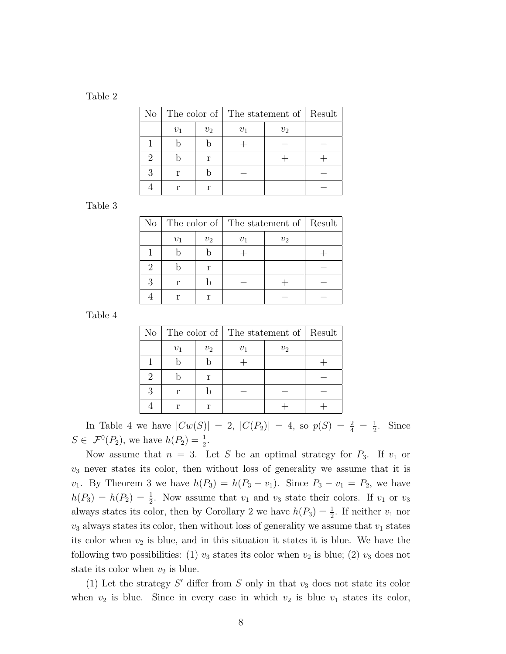Table 2

| $\rm No$ |                |  | The color of   The statement of   Result |                |  |
|----------|----------------|--|------------------------------------------|----------------|--|
|          | $v_2$<br>$v_1$ |  | $v_{1}$                                  | v <sub>2</sub> |  |
|          |                |  |                                          |                |  |
| 2        | r              |  |                                          |                |  |
| R        | r              |  |                                          |                |  |
|          |                |  |                                          |                |  |

### Table 3

| N <sub>o</sub> |       |       | The color of   The statement of   Result |       |  |
|----------------|-------|-------|------------------------------------------|-------|--|
|                | $v_1$ | $v_2$ | $v_{1}$                                  | $v_2$ |  |
|                |       |       |                                          |       |  |
|                | r     |       |                                          |       |  |
|                |       |       |                                          |       |  |
|                |       |       |                                          |       |  |

Table 4

| No |       |                         | The color of   The statement of   Result |  |  |
|----|-------|-------------------------|------------------------------------------|--|--|
|    | $v_1$ | $v_2$<br>$v_2$<br>$v_1$ |                                          |  |  |
|    |       |                         |                                          |  |  |
|    | r     |                         |                                          |  |  |
|    |       |                         |                                          |  |  |
|    |       |                         |                                          |  |  |

In Table 4 we have  $|Cw(S)| = 2$ ,  $|C(P_2)| = 4$ , so  $p(S) = \frac{2}{4} = \frac{1}{2}$  $\frac{1}{2}$ . Since  $S \in \mathcal{F}^0(P_2)$ , we have  $h(P_2) = \frac{1}{2}$ .

Now assume that  $n = 3$ . Let S be an optimal strategy for  $P_3$ . If  $v_1$  or  $v_3$  never states its color, then without loss of generality we assume that it is  $v_1$ . By Theorem 3 we have  $h(P_3) = h(P_3 - v_1)$ . Since  $P_3 - v_1 = P_2$ , we have  $h(P_3) = h(P_2) = \frac{1}{2}$ . Now assume that  $v_1$  and  $v_3$  state their colors. If  $v_1$  or  $v_3$ always states its color, then by Corollary 2 we have  $h(P_3) = \frac{1}{2}$ . If neither  $v_1$  nor  $v_3$  always states its color, then without loss of generality we assume that  $v_1$  states its color when  $v_2$  is blue, and in this situation it states it is blue. We have the following two possibilities: (1)  $v_3$  states its color when  $v_2$  is blue; (2)  $v_3$  does not state its color when  $v_2$  is blue.

(1) Let the strategy  $S'$  differ from  $S$  only in that  $v_3$  does not state its color when  $v_2$  is blue. Since in every case in which  $v_2$  is blue  $v_1$  states its color,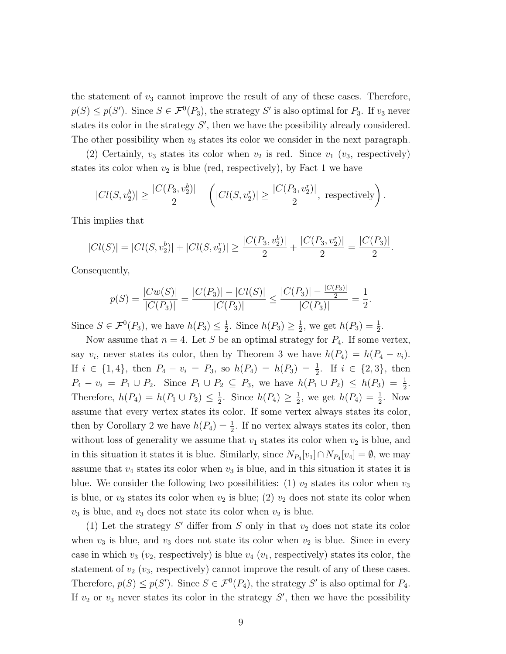the statement of  $v_3$  cannot improve the result of any of these cases. Therefore,  $p(S) \leq p(S')$ . Since  $S \in \mathcal{F}^0(P_3)$ , the strategy S' is also optimal for  $P_3$ . If  $v_3$  never states its color in the strategy  $S'$ , then we have the possibility already considered. The other possibility when  $v_3$  states its color we consider in the next paragraph.

(2) Certainly,  $v_3$  states its color when  $v_2$  is red. Since  $v_1$  ( $v_3$ , respectively) states its color when  $v_2$  is blue (red, respectively), by Fact 1 we have

$$
|Cl(S, v_2^b)| \ge \frac{|C(P_3, v_2^b)|}{2} \quad \left(|Cl(S, v_2^r)| \ge \frac{|C(P_3, v_2^r)|}{2}, \text{ respectively}\right).
$$

This implies that

$$
|Cl(S)| = |Cl(S, v_2^b)| + |Cl(S, v_2^r)| \ge \frac{|C(P_3, v_2^b)|}{2} + \frac{|C(P_3, v_2^r)|}{2} = \frac{|C(P_3)|}{2}.
$$

Consequently,

$$
p(S) = \frac{|Cw(S)|}{|C(P_3)|} = \frac{|C(P_3)| - |Cl(S)|}{|C(P_3)|} \le \frac{|C(P_3)| - \frac{|C(P_3)|}{2}}{|C(P_3)|} = \frac{1}{2}.
$$

Since  $S \in \mathcal{F}^0(P_3)$ , we have  $h(P_3) \leq \frac{1}{2}$  $\frac{1}{2}$ . Since  $h(P_3) \geq \frac{1}{2}$  $\frac{1}{2}$ , we get  $h(P_3) = \frac{1}{2}$ .

Now assume that  $n = 4$ . Let S be an optimal strategy for  $P_4$ . If some vertex, say  $v_i$ , never states its color, then by Theorem 3 we have  $h(P_4) = h(P_4 - v_i)$ . If  $i \in \{1, 4\}$ , then  $P_4 - v_i = P_3$ , so  $h(P_4) = h(P_3) = \frac{1}{2}$ . If  $i \in \{2, 3\}$ , then  $P_4 - v_i = P_1 \cup P_2$ . Since  $P_1 \cup P_2 \subseteq P_3$ , we have  $h(P_1 \cup P_2) \leq h(P_3) = \frac{1}{2}$ . Therefore,  $h(P_4) = h(P_1 \cup P_2) \leq \frac{1}{2}$  $\frac{1}{2}$ . Since  $h(P_4) \geq \frac{1}{2}$  $\frac{1}{2}$ , we get  $h(P_4) = \frac{1}{2}$ . Now assume that every vertex states its color. If some vertex always states its color, then by Corollary 2 we have  $h(P_4) = \frac{1}{2}$ . If no vertex always states its color, then without loss of generality we assume that  $v_1$  states its color when  $v_2$  is blue, and in this situation it states it is blue. Similarly, since  $N_{P_4}[v_1] \cap N_{P_4}[v_4] = \emptyset$ , we may assume that  $v_4$  states its color when  $v_3$  is blue, and in this situation it states it is blue. We consider the following two possibilities: (1)  $v_2$  states its color when  $v_3$ is blue, or  $v_3$  states its color when  $v_2$  is blue; (2)  $v_2$  does not state its color when  $v_3$  is blue, and  $v_3$  does not state its color when  $v_2$  is blue.

(1) Let the strategy  $S'$  differ from  $S$  only in that  $v_2$  does not state its color when  $v_3$  is blue, and  $v_3$  does not state its color when  $v_2$  is blue. Since in every case in which  $v_3$  ( $v_2$ , respectively) is blue  $v_4$  ( $v_1$ , respectively) states its color, the statement of  $v_2$  ( $v_3$ , respectively) cannot improve the result of any of these cases. Therefore,  $p(S) \leq p(S')$ . Since  $S \in \mathcal{F}^0(P_4)$ , the strategy S' is also optimal for  $P_4$ . If  $v_2$  or  $v_3$  never states its color in the strategy  $S'$ , then we have the possibility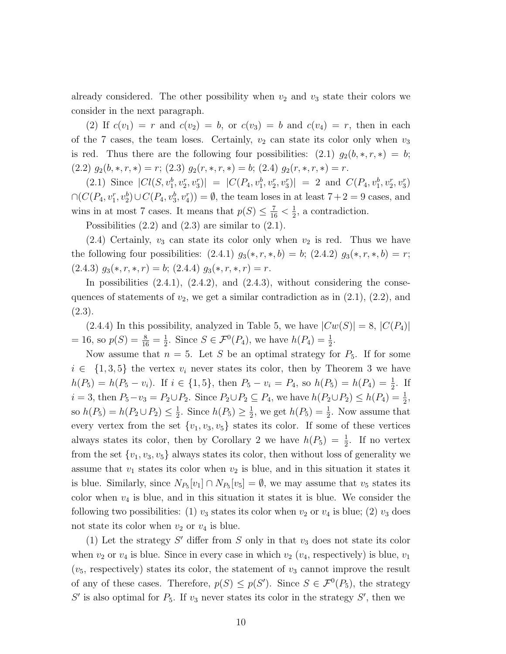already considered. The other possibility when  $v_2$  and  $v_3$  state their colors we consider in the next paragraph.

(2) If  $c(v_1) = r$  and  $c(v_2) = b$ , or  $c(v_3) = b$  and  $c(v_4) = r$ , then in each of the 7 cases, the team loses. Certainly,  $v_2$  can state its color only when  $v_3$ is red. Thus there are the following four possibilities:  $(2.1)$   $g_2(b, *, r, *) = b;$  $(2.2)$   $g_2(b,*,r,*) = r$ ;  $(2.3)$   $g_2(r,*,r,*) = b$ ;  $(2.4)$   $g_2(r,*,r,*) = r$ .

(2.1) Since  $|Cl(S, v_1^b, v_2^r, v_3^r)| = |C(P_4, v_1^b, v_2^r, v_3^r)| = 2$  and  $C(P_4, v_1^b, v_2^r, v_3^r)$  $\cap (C(P_4, v_1^r, v_2^b) \cup C(P_4, v_3^b, v_4^r)) = \emptyset$ , the team loses in at least  $7+2=9$  cases, and wins in at most 7 cases. It means that  $p(S) \leq \frac{7}{16} < \frac{1}{2}$  $\frac{1}{2}$ , a contradiction.

Possibilities  $(2.2)$  and  $(2.3)$  are similar to  $(2.1)$ .

 $(2.4)$  Certainly,  $v_3$  can state its color only when  $v_2$  is red. Thus we have the following four possibilities:  $(2.4.1)$   $g_3(*, r, *, b) = b$ ;  $(2.4.2)$   $g_3(*, r, *, b) = r$ ;  $(2.4.3)$   $g_3(*, r, *, r) = b$ ;  $(2.4.4)$   $g_3(*, r, *, r) = r$ .

In possibilities  $(2.4.1)$ ,  $(2.4.2)$ , and  $(2.4.3)$ , without considering the consequences of statements of  $v_2$ , we get a similar contradiction as in  $(2.1)$ ,  $(2.2)$ , and (2.3).

 $(2.4.4)$  In this possibility, analyzed in Table 5, we have  $|Cw(S)| = 8$ ,  $|C(P_4)|$  $= 16$ , so  $p(S) = \frac{8}{16} = \frac{1}{2}$  $\frac{1}{2}$ . Since  $S \in \mathcal{F}^0(P_4)$ , we have  $h(P_4) = \frac{1}{2}$ .

Now assume that  $n = 5$ . Let S be an optimal strategy for  $P_5$ . If for some  $i \in \{1,3,5\}$  the vertex  $v_i$  never states its color, then by Theorem 3 we have  $h(P_5) = h(P_5 - v_i)$ . If  $i \in \{1, 5\}$ , then  $P_5 - v_i = P_4$ , so  $h(P_5) = h(P_4) = \frac{1}{2}$ . If  $i = 3$ , then  $P_5 - v_3 = P_2 \cup P_2$ . Since  $P_2 \cup P_2 \subseteq P_4$ , we have  $h(P_2 \cup P_2) \leq h(P_4) = \frac{1}{2}$ , so  $h(P_5) = h(P_2 \cup P_2) \leq \frac{1}{2}$  $\frac{1}{2}$ . Since  $h(P_5) \geq \frac{1}{2}$  $\frac{1}{2}$ , we get  $h(P_5) = \frac{1}{2}$ . Now assume that every vertex from the set  $\{v_1, v_3, v_5\}$  states its color. If some of these vertices always states its color, then by Corollary 2 we have  $h(P_5) = \frac{1}{2}$ . If no vertex from the set  $\{v_1, v_3, v_5\}$  always states its color, then without loss of generality we assume that  $v_1$  states its color when  $v_2$  is blue, and in this situation it states it is blue. Similarly, since  $N_{P_5}[v_1] \cap N_{P_5}[v_5] = \emptyset$ , we may assume that  $v_5$  states its color when  $v_4$  is blue, and in this situation it states it is blue. We consider the following two possibilities: (1)  $v_3$  states its color when  $v_2$  or  $v_4$  is blue; (2)  $v_3$  does not state its color when  $v_2$  or  $v_4$  is blue.

(1) Let the strategy  $S'$  differ from  $S$  only in that  $v_3$  does not state its color when  $v_2$  or  $v_4$  is blue. Since in every case in which  $v_2$  ( $v_4$ , respectively) is blue,  $v_1$  $(v_5,$  respectively) states its color, the statement of  $v_3$  cannot improve the result of any of these cases. Therefore,  $p(S) \leq p(S')$ . Since  $S \in \mathcal{F}^0(P_5)$ , the strategy  $S'$  is also optimal for  $P_5$ . If  $v_3$  never states its color in the strategy  $S'$ , then we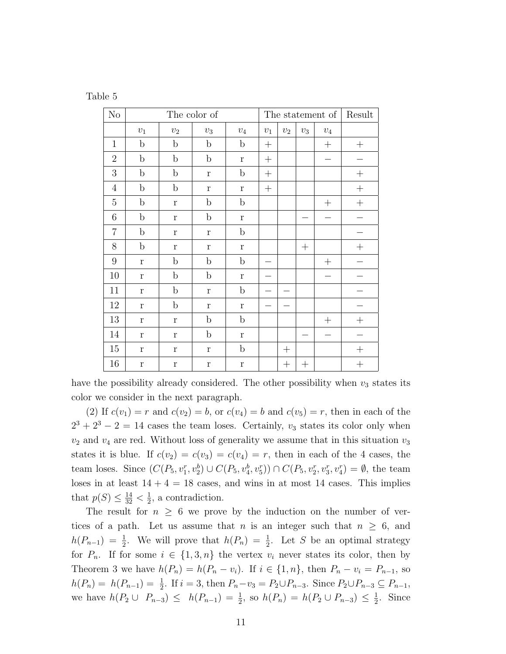| Table |  |
|-------|--|
|-------|--|

| No               | The color of |             |              |              | The statement of |        |                    |              | Result             |
|------------------|--------------|-------------|--------------|--------------|------------------|--------|--------------------|--------------|--------------------|
|                  | $\upsilon_1$ | $v_2$       | $\upsilon_3$ | $\upsilon_4$ | $v_1$            | $v_2$  | $v_3$              | $\upsilon_4$ |                    |
| $\mathbf{1}$     | $\mathbf b$  | $\mathbf b$ | $\mathbf b$  | $\mathbf b$  | $^{+}$           |        |                    | $^{+}$       | $^{+}$             |
| $\overline{2}$   | $\mathbf b$  | $\mathbf b$ | $\mathbf b$  | $\mathbf r$  | $^{+}$           |        |                    |              |                    |
| 3                | $\mathbf b$  | $\mathbf b$ | $\mathbf r$  | $\mathbf b$  | $^{+}$           |        |                    |              | $\! + \!$          |
| $\overline{4}$   | $\mathbf b$  | $\mathbf b$ | $\Gamma$     | $\mathbf r$  | $^{+}$           |        |                    |              | $\! + \!$          |
| $\overline{5}$   | $\mathbf b$  | $\mathbf r$ | $\mathbf b$  | $\mathbf b$  |                  |        |                    | $^{+}$       | $\! + \!$          |
| $\,6$            | $\mathbf b$  | $\mathbf r$ | $\mathbf b$  | $\mathbf r$  |                  |        |                    |              |                    |
| $\overline{7}$   | $\mathbf b$  | $\mathbf r$ | $\mathbf r$  | $\mathbf b$  |                  |        |                    |              |                    |
| $8\,$            | $\mathbf b$  | $\mathbf r$ | $\mathbf r$  | $\bf r$      |                  |        | $^{+}$             |              | $\hspace{0.1mm} +$ |
| $\boldsymbol{9}$ | $\mathbf{r}$ | $\mathbf b$ | $\mathbf b$  | $\mathbf b$  |                  |        |                    | $^{+}$       |                    |
| 10               | $\mathbf r$  | $\mathbf b$ | $\mathbf b$  | $\mathbf{r}$ |                  |        |                    |              |                    |
| 11               | r            | $\mathbf b$ | $\mathbf{r}$ | $\mathbf b$  |                  |        |                    |              |                    |
| $12\,$           | $\mathbf r$  | $\mathbf b$ | $\Gamma$     | $\Gamma$     |                  |        |                    |              |                    |
| 13               | $\mathbf r$  | $\mathbf r$ | $\mathbf b$  | $\mathbf b$  |                  |        |                    | $^{+}$       | $^{+}$             |
| 14               | $\mathbf r$  | $\mathbf r$ | $\mathbf b$  | $\Gamma$     |                  |        |                    |              |                    |
| 15               | $\bf r$      | $\mathbf r$ | $\bf r$      | $\mathbf b$  |                  | $^{+}$ |                    |              | $^{+}$             |
| 16               | $\mathbf r$  | $\bf r$     | $\Gamma$     | $\bf r$      |                  |        | $\hspace{0.1mm} +$ |              | $^{+}$             |

have the possibility already considered. The other possibility when  $v_3$  states its color we consider in the next paragraph.

(2) If  $c(v_1) = r$  and  $c(v_2) = b$ , or  $c(v_4) = b$  and  $c(v_5) = r$ , then in each of the  $2^3 + 2^3 - 2 = 14$  cases the team loses. Certainly,  $v_3$  states its color only when  $v_2$  and  $v_4$  are red. Without loss of generality we assume that in this situation  $v_3$ states it is blue. If  $c(v_2) = c(v_3) = c(v_4) = r$ , then in each of the 4 cases, the team loses. Since  $(C(P_5, v_1^r, v_2^b) \cup C(P_5, v_4^b, v_5^r)) \cap C(P_5, v_2^r, v_3^r, v_4^r) = \emptyset$ , the team loses in at least  $14 + 4 = 18$  cases, and wins in at most 14 cases. This implies that  $p(S) \leq \frac{14}{32} < \frac{1}{2}$  $\frac{1}{2}$ , a contradiction.

The result for  $n \geq 6$  we prove by the induction on the number of vertices of a path. Let us assume that n is an integer such that  $n \geq 6$ , and  $h(P_{n-1}) = \frac{1}{2}$ . We will prove that  $h(P_n) = \frac{1}{2}$ . Let S be an optimal strategy for  $P_n$ . If for some  $i \in \{1,3,n\}$  the vertex  $v_i$  never states its color, then by Theorem 3 we have  $h(P_n) = h(P_n - v_i)$ . If  $i \in \{1, n\}$ , then  $P_n - v_i = P_{n-1}$ , so  $h(P_n) = h(P_{n-1}) = \frac{1}{2}$ . If  $i = 3$ , then  $P_n - v_3 = P_2 \cup P_{n-3}$ . Since  $P_2 \cup P_{n-3} \subseteq P_{n-1}$ , we have  $h(P_2 \cup P_{n-3}) \leq h(P_{n-1}) = \frac{1}{2}$ , so  $h(P_n) = h(P_2 \cup P_{n-3}) \leq \frac{1}{2}$  $\frac{1}{2}$ . Since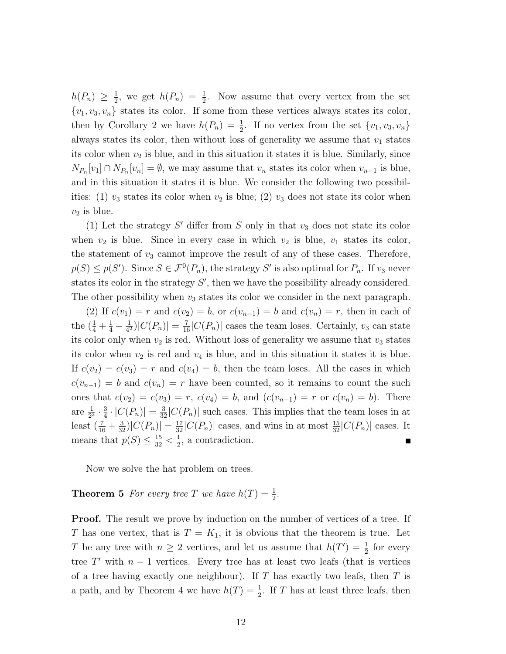$h(P_n) \geq \frac{1}{2}$  $\frac{1}{2}$ , we get  $h(P_n) = \frac{1}{2}$ . Now assume that every vertex from the set  ${v_1, v_3, v_n}$  states its color. If some from these vertices always states its color, then by Corollary 2 we have  $h(P_n) = \frac{1}{2}$ . If no vertex from the set  $\{v_1, v_3, v_n\}$ always states its color, then without loss of generality we assume that  $v_1$  states its color when  $v_2$  is blue, and in this situation it states it is blue. Similarly, since  $N_{P_n}[v_1] \cap N_{P_n}[v_n] = \emptyset$ , we may assume that  $v_n$  states its color when  $v_{n-1}$  is blue, and in this situation it states it is blue. We consider the following two possibilities: (1)  $v_3$  states its color when  $v_2$  is blue; (2)  $v_3$  does not state its color when  $v_2$  is blue.

(1) Let the strategy  $S'$  differ from  $S$  only in that  $v_3$  does not state its color when  $v_2$  is blue. Since in every case in which  $v_2$  is blue,  $v_1$  states its color, the statement of  $v_3$  cannot improve the result of any of these cases. Therefore,  $p(S) \leq p(S')$ . Since  $S \in \mathcal{F}^0(P_n)$ , the strategy S' is also optimal for  $P_n$ . If  $v_3$  never states its color in the strategy  $S'$ , then we have the possibility already considered. The other possibility when  $v_3$  states its color we consider in the next paragraph.

(2) If  $c(v_1) = r$  and  $c(v_2) = b$ , or  $c(v_{n-1}) = b$  and  $c(v_n) = r$ , then in each of the  $(\frac{1}{4} + \frac{1}{4} - \frac{1}{4^2})$  $\frac{1}{4^2}$ )| $C(P_n)$ | =  $\frac{7}{16}$ | $C(P_n)$ | cases the team loses. Certainly,  $v_3$  can state its color only when  $v_2$  is red. Without loss of generality we assume that  $v_3$  states its color when  $v_2$  is red and  $v_4$  is blue, and in this situation it states it is blue. If  $c(v_2) = c(v_3) = r$  and  $c(v_4) = b$ , then the team loses. All the cases in which  $c(v_{n-1}) = b$  and  $c(v_n) = r$  have been counted, so it remains to count the such ones that  $c(v_2) = c(v_3) = r$ ,  $c(v_4) = b$ , and  $(c(v_{n-1}) = r$  or  $c(v_n) = b$ . There are  $\frac{1}{2^3} \cdot \frac{3}{4}$  $\frac{3}{4} \cdot |C(P_n)| = \frac{3}{32}|C(P_n)|$  such cases. This implies that the team loses in at least  $(\frac{7}{16} + \frac{3}{32})|C(P_n)| = \frac{17}{32}|C(P_n)|$  cases, and wins in at most  $\frac{15}{32}|C(P_n)|$  cases. It means that  $p(S) \leq \frac{15}{32} < \frac{1}{2}$  $\frac{1}{2}$ , a contradiction.

Now we solve the hat problem on trees.

## **Theorem 5** For every tree T we have  $h(T) = \frac{1}{2}$ .

**Proof.** The result we prove by induction on the number of vertices of a tree. If T has one vertex, that is  $T = K_1$ , it is obvious that the theorem is true. Let T be any tree with  $n \geq 2$  vertices, and let us assume that  $h(T') = \frac{1}{2}$  for every tree  $T'$  with  $n-1$  vertices. Every tree has at least two leafs (that is vertices of a tree having exactly one neighbour). If  $T$  has exactly two leafs, then  $T$  is a path, and by Theorem 4 we have  $h(T) = \frac{1}{2}$ . If T has at least three leafs, then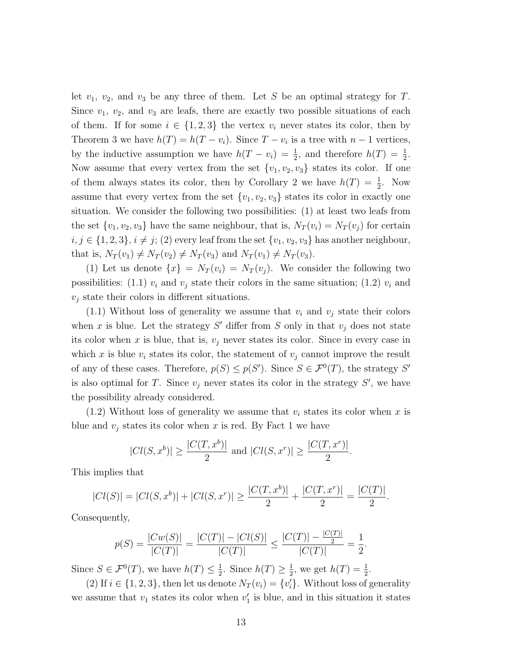let  $v_1$ ,  $v_2$ , and  $v_3$  be any three of them. Let S be an optimal strategy for T. Since  $v_1, v_2$ , and  $v_3$  are leafs, there are exactly two possible situations of each of them. If for some  $i \in \{1,2,3\}$  the vertex  $v_i$  never states its color, then by Theorem 3 we have  $h(T) = h(T - v_i)$ . Since  $T - v_i$  is a tree with  $n - 1$  vertices, by the inductive assumption we have  $h(T - v_i) = \frac{1}{2}$ , and therefore  $h(T) = \frac{1}{2}$ . Now assume that every vertex from the set  $\{v_1, v_2, v_3\}$  states its color. If one of them always states its color, then by Corollary 2 we have  $h(T) = \frac{1}{2}$ . Now assume that every vertex from the set  $\{v_1, v_2, v_3\}$  states its color in exactly one situation. We consider the following two possibilities: (1) at least two leafs from the set  $\{v_1, v_2, v_3\}$  have the same neighbour, that is,  $N_T(v_i) = N_T(v_j)$  for certain  $i, j \in \{1, 2, 3\}, i \neq j$ ; (2) every leaf from the set  $\{v_1, v_2, v_3\}$  has another neighbour, that is,  $N_T(v_1) \neq N_T(v_2) \neq N_T(v_3)$  and  $N_T(v_1) \neq N_T(v_3)$ .

(1) Let us denote  $\{x\} = N_T(v_i) = N_T(v_j)$ . We consider the following two possibilities: (1.1)  $v_i$  and  $v_j$  state their colors in the same situation; (1.2)  $v_i$  and  $v_i$  state their colors in different situations.

 $(1.1)$  Without loss of generality we assume that  $v_i$  and  $v_j$  state their colors when x is blue. Let the strategy  $S'$  differ from S only in that  $v_j$  does not state its color when x is blue, that is,  $v_i$  never states its color. Since in every case in which x is blue  $v_i$  states its color, the statement of  $v_j$  cannot improve the result of any of these cases. Therefore,  $p(S) \leq p(S')$ . Since  $S \in \mathcal{F}^0(T)$ , the strategy S' is also optimal for T. Since  $v_j$  never states its color in the strategy  $S'$ , we have the possibility already considered.

 $(1.2)$  Without loss of generality we assume that  $v_i$  states its color when x is blue and  $v_j$  states its color when x is red. By Fact 1 we have

$$
|Cl(S, x^{b})| \ge \frac{|C(T, x^{b})|}{2}
$$
 and  $|Cl(S, x^{r})| \ge \frac{|C(T, x^{r})|}{2}$ .

This implies that

$$
|Cl(S)| = |Cl(S, x^{b})| + |Cl(S, x^{r})| \ge \frac{|C(T, x^{b})|}{2} + \frac{|C(T, x^{r})|}{2} = \frac{|C(T)|}{2}.
$$

Consequently,

$$
p(S) = \frac{|Cw(S)|}{|C(T)|} = \frac{|C(T)| - |C(I)|}{|C(T)|} \le \frac{|C(T)| - \frac{|C(T)|}{2}}{|C(T)|} = \frac{1}{2}.
$$

Since  $S \in \mathcal{F}^0(T)$ , we have  $h(T) \leq \frac{1}{2}$  $\frac{1}{2}$ . Since  $h(T) \geq \frac{1}{2}$  $\frac{1}{2}$ , we get  $h(T) = \frac{1}{2}$ .

(2) If  $i \in \{1, 2, 3\}$ , then let us denote  $N_T(v_i) = \{v'_i\}$ . Without loss of generality we assume that  $v_1$  states its color when  $v'_1$  is blue, and in this situation it states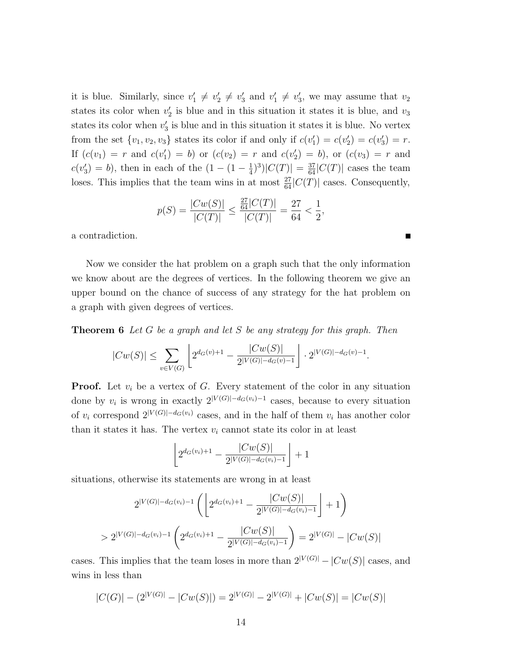it is blue. Similarly, since  $v'_1 \neq v'_2 \neq v'_3$  and  $v'_1 \neq v'_3$ , we may assume that  $v_2$ states its color when  $v_2'$  is blue and in this situation it states it is blue, and  $v_3$ states its color when  $v_3'$  is blue and in this situation it states it is blue. No vertex from the set  $\{v_1, v_2, v_3\}$  states its color if and only if  $c(v'_1) = c(v'_2) = c(v'_3) = r$ . If  $(c(v_1) = r$  and  $c(v'_1) = b)$  or  $(c(v_2) = r$  and  $c(v'_2) = b)$ , or  $(c(v_3) = r$  and  $c(v_3') = b$ , then in each of the  $(1 - (1 - \frac{1}{4}))$  $(\frac{1}{4})^3$ | $C(T)$ | =  $\frac{37}{64}$ | $C(T)$ | cases the team loses. This implies that the team wins in at most  $\frac{27}{64}|C(T)|$  cases. Consequently,

$$
p(S) = \frac{|Cw(S)|}{|C(T)|} \le \frac{\frac{27}{64}|C(T)|}{|C(T)|} = \frac{27}{64} < \frac{1}{2},
$$

 $\blacksquare$ 

a contradiction.

Now we consider the hat problem on a graph such that the only information we know about are the degrees of vertices. In the following theorem we give an upper bound on the chance of success of any strategy for the hat problem on a graph with given degrees of vertices.

**Theorem 6** *Let* G *be a graph and let* S *be any strategy for this graph. Then*

$$
|Cw(S)| \leq \sum_{v \in V(G)} \left[ 2^{d_G(v)+1} - \frac{|Cw(S)|}{2^{|V(G)| - d_G(v) - 1}} \right] \cdot 2^{|V(G)| - d_G(v) - 1}.
$$

**Proof.** Let  $v_i$  be a vertex of  $G$ . Every statement of the color in any situation done by  $v_i$  is wrong in exactly  $2^{|V(G)|-d_G(v_i)-1}$  cases, because to every situation of  $v_i$  correspond  $2^{|V(G)|-d_G(v_i)}$  cases, and in the half of them  $v_i$  has another color than it states it has. The vertex  $v_i$  cannot state its color in at least

$$
\[2^{d_G(v_i)+1} - \frac{|Cw(S)|}{2^{|V(G)| - d_G(v_i)-1}}\] + 1
$$

situations, otherwise its statements are wrong in at least

$$
2^{|V(G)| - d_G(v_i) - 1} \left( \left\lfloor 2^{d_G(v_i) + 1} - \frac{|Cw(S)|}{2^{|V(G)| - d_G(v_i) - 1}} \right\rfloor + 1 \right)
$$
  
> 
$$
2^{|V(G)| - d_G(v_i) - 1} \left( 2^{d_G(v_i) + 1} - \frac{|Cw(S)|}{2^{|V(G)| - d_G(v_i) - 1}} \right) = 2^{|V(G)|} - |Cw(S)|
$$

cases. This implies that the team loses in more than  $2^{|V(G)|} - |Cw(S)|$  cases, and wins in less than

$$
|C(G)| - (2^{|V(G)|} - |Cw(S)|) = 2^{|V(G)|} - 2^{|V(G)|} + |Cw(S)| = |Cw(S)|
$$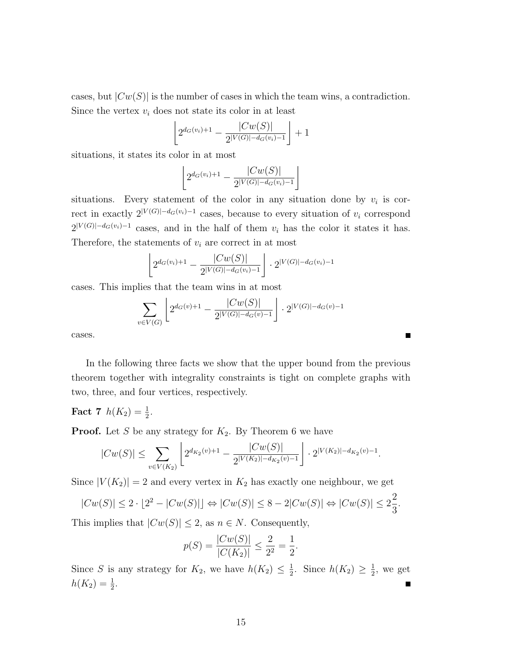cases, but  $|Cw(S)|$  is the number of cases in which the team wins, a contradiction. Since the vertex  $v_i$  does not state its color in at least

$$
\[2^{d_G(v_i)+1} - \frac{|Cw(S)|}{2^{|V(G)| - d_G(v_i)-1}}\] + 1
$$

situations, it states its color in at most

$$
\[2^{d_G(v_i)+1} - \frac{|Cw(S)|}{2^{|V(G)| - d_G(v_i)-1}}\]
$$

situations. Every statement of the color in any situation done by  $v_i$  is correct in exactly  $2^{|V(G)|-d_G(v_i)-1}$  cases, because to every situation of  $v_i$  correspond  $2^{|V(G)|-d_G(v_i)-1}$  cases, and in the half of them  $v_i$  has the color it states it has. Therefore, the statements of  $v_i$  are correct in at most

$$
\[2^{d_G(v_i)+1} - \frac{|Cw(S)|}{2^{|V(G)| - d_G(v_i)-1}} \] \cdot 2^{|V(G)| - d_G(v_i)-1}\]
$$

cases. This implies that the team wins in at most

$$
\sum_{v \in V(G)} \left[ 2^{d_G(v)+1} - \frac{|Cw(S)|}{2^{|V(G)| - d_G(v) - 1}} \right] \cdot 2^{|V(G)| - d_G(v) - 1}
$$

cases.

In the following three facts we show that the upper bound from the previous theorem together with integrality constraints is tight on complete graphs with two, three, and four vertices, respectively.

**Fact 7**  $h(K_2) = \frac{1}{2}$ .

**Proof.** Let S be any strategy for  $K_2$ . By Theorem 6 we have

$$
|Cw(S)| \leq \sum_{v \in V(K_2)} \left[ 2^{d_{K_2}(v)+1} - \frac{|Cw(S)|}{2^{|V(K_2)| - d_{K_2}(v) - 1}} \right] \cdot 2^{|V(K_2)| - d_{K_2}(v) - 1}.
$$

Since  $|V(K_2)| = 2$  and every vertex in  $K_2$  has exactly one neighbour, we get

$$
|Cw(S)| \le 2 \cdot \lfloor 2^2 - |Cw(S)| \rfloor \Leftrightarrow |Cw(S)| \le 8 - 2|Cw(S)| \Leftrightarrow |Cw(S)| \le 2\frac{2}{3}.
$$

This implies that  $|Cw(S)| \leq 2$ , as  $n \in N$ . Consequently,

$$
p(S) = \frac{|Cw(S)|}{|C(K_2)|} \le \frac{2}{2^2} = \frac{1}{2}.
$$

Since S is any strategy for  $K_2$ , we have  $h(K_2) \leq \frac{1}{2}$  $\frac{1}{2}$ . Since  $h(K_2) \geq \frac{1}{2}$  $\frac{1}{2}$ , we get  $h(K_2) = \frac{1}{2}.$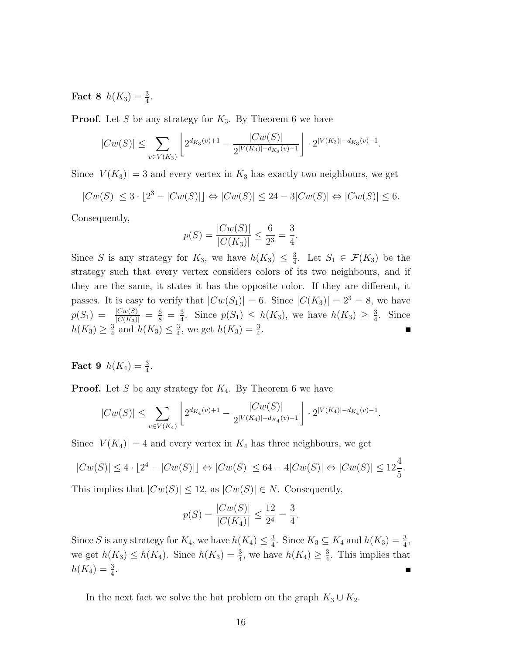**Fact 8**  $h(K_3) = \frac{3}{4}$ .

**Proof.** Let S be any strategy for  $K_3$ . By Theorem 6 we have

$$
|Cw(S)| \leq \sum_{v \in V(K_3)} \left[ 2^{d_{K_3}(v)+1} - \frac{|Cw(S)|}{2^{|V(K_3)| - d_{K_3}(v) - 1}} \right] \cdot 2^{|V(K_3)| - d_{K_3}(v) - 1}.
$$

Since  $|V(K_3)| = 3$  and every vertex in  $K_3$  has exactly two neighbours, we get

$$
|Cw(S)| \le 3 \cdot \lfloor 2^3 - |Cw(S)| \rfloor \Leftrightarrow |Cw(S)| \le 24 - 3|Cw(S)| \Leftrightarrow |Cw(S)| \le 6.
$$

Consequently,

$$
p(S) = \frac{|Cw(S)|}{|C(K_3)|} \le \frac{6}{2^3} = \frac{3}{4}.
$$

Since S is any strategy for  $K_3$ , we have  $h(K_3) \leq \frac{3}{4}$  $\frac{3}{4}$ . Let  $S_1 \in \mathcal{F}(K_3)$  be the strategy such that every vertex considers colors of its two neighbours, and if they are the same, it states it has the opposite color. If they are different, it passes. It is easy to verify that  $|Cw(S_1)| = 6$ . Since  $|C(K_3)| = 2^3 = 8$ , we have  $p(S_1) = \frac{|Cw(S)|}{|C(K_3)|} = \frac{6}{8} = \frac{3}{4}$  $\frac{3}{4}$ . Since  $p(S_1) \leq h(K_3)$ , we have  $h(K_3) \geq \frac{3}{4}$  $\frac{3}{4}$ . Since  $h(K_3) \geq \frac{3}{4}$  $\frac{3}{4}$  and  $h(K_3) \leq \frac{3}{4}$  $\frac{3}{4}$ , we get  $h(K_3) = \frac{3}{4}$ .

**Fact 9**  $h(K_4) = \frac{3}{4}$ .

**Proof.** Let S be any strategy for  $K_4$ . By Theorem 6 we have

$$
|Cw(S)| \leq \sum_{v \in V(K_4)} \left[ 2^{d_{K_4}(v)+1} - \frac{|Cw(S)|}{2^{|V(K_4)| - d_{K_4}(v) - 1}} \right] \cdot 2^{|V(K_4)| - d_{K_4}(v) - 1}.
$$

Since  $|V(K_4)| = 4$  and every vertex in  $K_4$  has three neighbours, we get

$$
|Cw(S)| \le 4 \cdot \lfloor 2^4 - |Cw(S)| \rfloor \Leftrightarrow |Cw(S)| \le 64 - 4|Cw(S)| \Leftrightarrow |Cw(S)| \le 12\frac{4}{5}.
$$

This implies that  $|Cw(S)| \leq 12$ , as  $|Cw(S)| \in N$ . Consequently,

$$
p(S) = \frac{|Cw(S)|}{|C(K_4)|} \le \frac{12}{2^4} = \frac{3}{4}.
$$

Since S is any strategy for  $K_4$ , we have  $h(K_4) \leq \frac{3}{4}$  $\frac{3}{4}$ . Since  $K_3 \subseteq K_4$  and  $h(K_3) = \frac{3}{4}$ , we get  $h(K_3) \le h(K_4)$ . Since  $h(K_3) = \frac{3}{4}$ , we have  $h(K_4) \ge \frac{3}{4}$  $\frac{3}{4}$ . This implies that  $h(K_4) = \frac{3}{4}.$ 

In the next fact we solve the hat problem on the graph  $K_3 \cup K_2$ .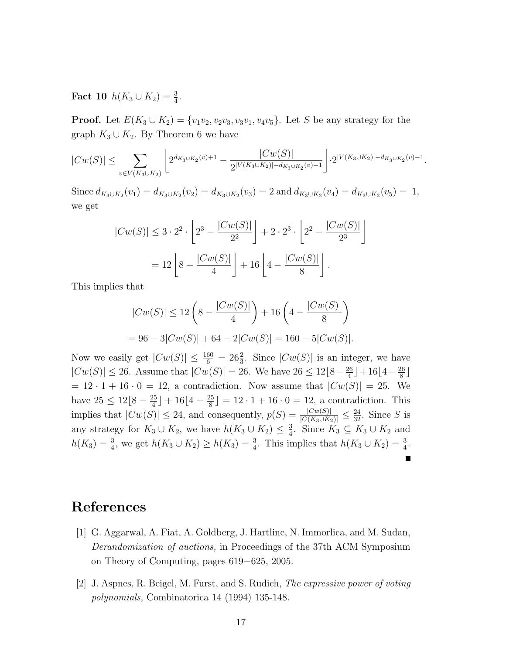**Fact 10**  $h(K_3 \cup K_2) = \frac{3}{4}$ .

**Proof.** Let  $E(K_3 \cup K_2) = \{v_1v_2, v_2v_3, v_3v_1, v_4v_5\}$ . Let S be any strategy for the graph  $K_3 \cup K_2$ . By Theorem 6 we have

$$
|Cw(S)| \leq \sum_{v \in V(K_3 \cup K_2)} \left[ 2^{d_{K_3 \cup K_2}(v) + 1} - \frac{|Cw(S)|}{2^{|V(K_3 \cup K_2)| - d_{K_3 \cup K_2}(v) - 1}} \right] \cdot 2^{|V(K_3 \cup K_2)| - d_{K_3 \cup K_2}(v) - 1}.
$$

Since  $d_{K_3 \cup K_2}(v_1) = d_{K_3 \cup K_2}(v_2) = d_{K_3 \cup K_2}(v_3) = 2$  and  $d_{K_3 \cup K_2}(v_4) = d_{K_3 \cup K_2}(v_5) = 1$ , we get

$$
|Cw(S)| \le 3 \cdot 2^2 \cdot \left[ 2^3 - \frac{|Cw(S)|}{2^2} \right] + 2 \cdot 2^3 \cdot \left[ 2^2 - \frac{|Cw(S)|}{2^3} \right]
$$
  
= 12  $\left[ 8 - \frac{|Cw(S)|}{4} \right] + 16 \left[ 4 - \frac{|Cw(S)|}{8} \right].$ 

This implies that

$$
|Cw(S)| \le 12\left(8 - \frac{|Cw(S)|}{4}\right) + 16\left(4 - \frac{|Cw(S)|}{8}\right)
$$
  
= 96 - 3| $Cw(S)$ | + 64 - 2| $Cw(S)$ | = 160 - 5| $Cw(S)$ |.

Now we easily get  $|Cw(S)| \leq \frac{160}{6} = 26\frac{2}{3}$ . Since  $|Cw(S)|$  is an integer, we have  $|Cw(S)| \le 26$ . Assume that  $|Cw(S)| = 26$ . We have  $26 \le 12|8-\frac{26}{4}$  $\frac{26}{4}$ ] + 16[4 –  $\frac{26}{8}$  $\frac{26}{8}$  $= 12 \cdot 1 + 16 \cdot 0 = 12$ , a contradiction. Now assume that  $|Cw(S)| = 25$ . We have  $25 \leq 12\left[8 - \frac{25}{4}\right]$  $\frac{25}{4}$ ] + 16[4 –  $\frac{25}{8}$  $\lfloor \frac{25}{8} \rfloor = 12 \cdot 1 + 16 \cdot 0 = 12$ , a contradiction. This implies that  $|Cw(S)| \le 24$ , and consequently,  $p(S) = \frac{|Cw(S)|}{|C(K_3 \cup K_2)|} \le \frac{24}{32}$ . Since S is any strategy for  $K_3 \cup K_2$ , we have  $h(K_3 \cup K_2) \leq \frac{3}{4}$  $\frac{3}{4}$ . Since  $K_3 \subseteq K_3 \cup K_2$  and  $h(K_3) = \frac{3}{4}$ , we get  $h(K_3 \cup K_2) \ge h(K_3) = \frac{3}{4}$ . This implies that  $h(K_3 \cup K_2) = \frac{3}{4}$ .

## **References**

- [1] G. Aggarwal, A. Fiat, A. Goldberg, J. Hartline, N. Immorlica, and M. Sudan, *Derandomization of auctions,* in Proceedings of the 37th ACM Symposium on Theory of Computing, pages 619−625, 2005.
- [2] J. Aspnes, R. Beigel, M. Furst, and S. Rudich, *The expressive power of voting polynomials,* Combinatorica 14 (1994) 135-148.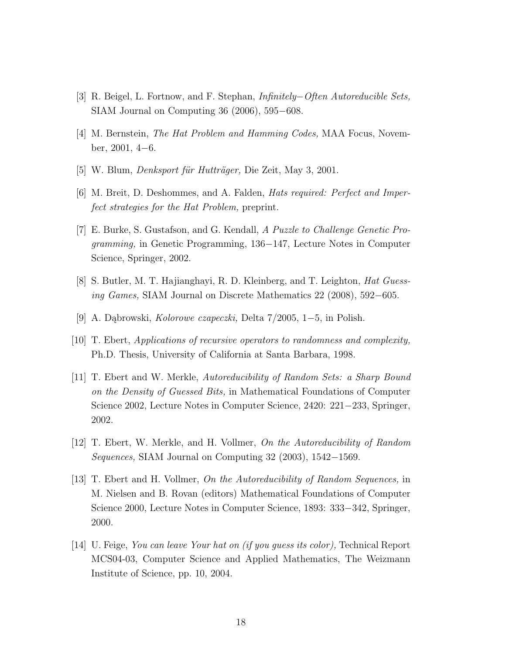- [3] R. Beigel, L. Fortnow, and F. Stephan, *Infinitely*−*Often Autoreducible Sets,* SIAM Journal on Computing 36 (2006), 595−608.
- [4] M. Bernstein, *The Hat Problem and Hamming Codes,* MAA Focus, November, 2001, 4−6.
- [5] W. Blum, *Denksport für Hutträger*, Die Zeit, May 3, 2001.
- [6] M. Breit, D. Deshommes, and A. Falden, *Hats required: Perfect and Imperfect strategies for the Hat Problem,* preprint.
- [7] E. Burke, S. Gustafson, and G. Kendall, *A Puzzle to Challenge Genetic Programming,* in Genetic Programming, 136−147, Lecture Notes in Computer Science, Springer, 2002.
- [8] S. Butler, M. T. Hajianghayi, R. D. Kleinberg, and T. Leighton, *Hat Guessing Games,* SIAM Journal on Discrete Mathematics 22 (2008), 592−605.
- [9] A. Dąbrowski, *Kolorowe czapeczki,* Delta 7/2005, 1−5, in Polish.
- [10] T. Ebert, *Applications of recursive operators to randomness and complexity,* Ph.D. Thesis, University of California at Santa Barbara, 1998.
- [11] T. Ebert and W. Merkle, *Autoreducibility of Random Sets: a Sharp Bound on the Density of Guessed Bits,* in Mathematical Foundations of Computer Science 2002, Lecture Notes in Computer Science, 2420: 221−233, Springer, 2002.
- [12] T. Ebert, W. Merkle, and H. Vollmer, *On the Autoreducibility of Random Sequences,* SIAM Journal on Computing 32 (2003), 1542−1569.
- [13] T. Ebert and H. Vollmer, *On the Autoreducibility of Random Sequences,* in M. Nielsen and B. Rovan (editors) Mathematical Foundations of Computer Science 2000, Lecture Notes in Computer Science, 1893: 333−342, Springer, 2000.
- [14] U. Feige, *You can leave Your hat on (if you guess its color),* Technical Report MCS04-03, Computer Science and Applied Mathematics, The Weizmann Institute of Science, pp. 10, 2004.